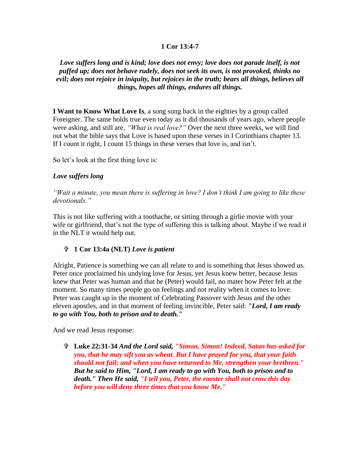### **1 Cor 13:4-7**

# *Love suffers long and is kind; love does not envy; love does not parade itself, is not puffed up; does not behave rudely, does not seek its own, is not provoked, thinks no evil; does not rejoice in iniquity, but rejoices in the truth; bears all things, believes all things, hopes all things, endures all things.*

**I Want to Know What Love Is**, a song sung back in the eighties by a group called Foreigner. The same holds true even today as it did thousands of years ago, where people were asking, and still are, *"What is real love?"* Over the next three weeks, we will find out what the bible says that Love is based upon these verses in I Corinthians chapter 13. If I count it right, I count 15 things in these verses that love is, and isn't.

So let's look at the first thing love is:

### *Love suffers long*

*"Wait a minute, you mean there is suffering in love? I don't think I am going to like these devotionals."*

This is not like suffering with a toothache, or sitting through a girlie movie with your wife or girlfriend, that's not the type of suffering this is talking about. Maybe if we read it in the NLT it would help out.

#### **1 Cor 13:4a (NLT)** *Love is patient*

Alright, Patience is something we can all relate to and is something that Jesus showed us. Peter once proclaimed his undying love for Jesus, yet Jesus knew better, because Jesus knew that Peter was human and that he (Peter) would fail, no mater how Peter felt at the moment. So many times people go on feelings and not reality when it comes to love. Peter was caught up in the moment of Celebrating Passover with Jesus and the other eleven apostles, and in that moment of feeling invincible, Peter said: *"Lord, I am ready to go with You, both to prison and to death."*

And we read Jesus response:

 **Luke 22:31-34** *And the Lord said, "Simon, Simon! Indeed, Satan has asked for you, that he may sift you as wheat. But I have prayed for you, that your faith should not fail; and when you have returned to Me, strengthen your brethren." But he said to Him, "Lord, I am ready to go with You, both to prison and to death." Then He said, "I tell you, Peter, the rooster shall not crow this day before you will deny three times that you know Me."*